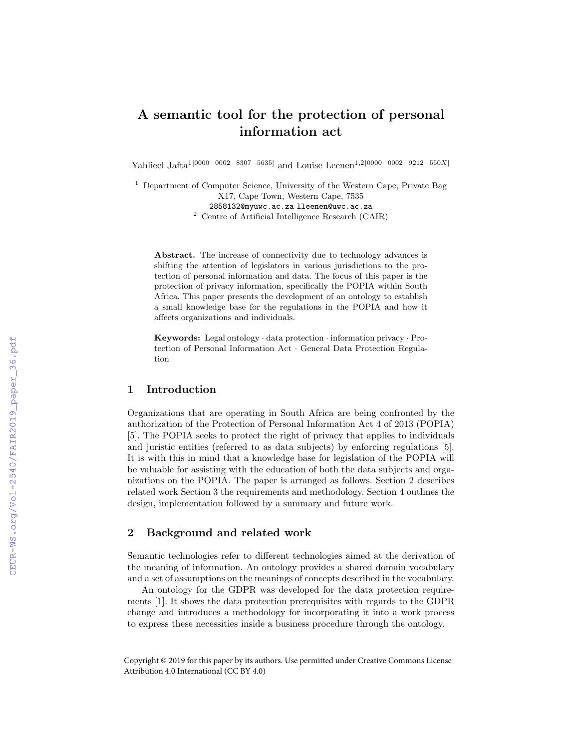# A semantic tool for the protection of personal information act

Yahlieel Jafta<sup>1</sup>[0000−0002−8307−5635] and Louise Leenen<sup>1,2</sup>[0000−0002−9212−550X]

<sup>1</sup> Department of Computer Science, University of the Western Cape, Private Bag

X17, Cape Town, Western Cape, 7535

2858132@myuwc.ac.za lleenen@uwc.ac.za

<sup>2</sup> Centre of Artificial Intelligence Research (CAIR)

Abstract. The increase of connectivity due to technology advances is shifting the attention of legislators in various jurisdictions to the protection of personal information and data. The focus of this paper is the protection of privacy information, specifically the POPIA within South Africa. This paper presents the development of an ontology to establish a small knowledge base for the regulations in the POPIA and how it affects organizations and individuals.

Keywords: Legal ontology · data protection · information privacy · Protection of Personal Information Act · General Data Protection Regulation

## 1 Introduction

Organizations that are operating in South Africa are being confronted by the authorization of the Protection of Personal Information Act 4 of 2013 (POPIA) [5]. The POPIA seeks to protect the right of privacy that applies to individuals and juristic entities (referred to as data subjects) by enforcing regulations [5]. It is with this in mind that a knowledge base for legislation of the POPIA will be valuable for assisting with the education of both the data subjects and organizations on the POPIA. The paper is arranged as follows. Section 2 describes related work Section 3 the requirements and methodology. Section 4 outlines the design, implementation followed by a summary and future work.

## 2 Background and related work

Semantic technologies refer to different technologies aimed at the derivation of the meaning of information. An ontology provides a shared domain vocabulary and a set of assumptions on the meanings of concepts described in the vocabulary.

An ontology for the GDPR was developed for the data protection requirements [1]. It shows the data protection prerequisites with regards to the GDPR change and introduces a methodology for incorporating it into a work process to express these necessities inside a business procedure through the ontology.

Copyright © 2019 for this paper by its authors. Use permitted under Creative Commons License Attribution 4.0 International (CC BY 4.0)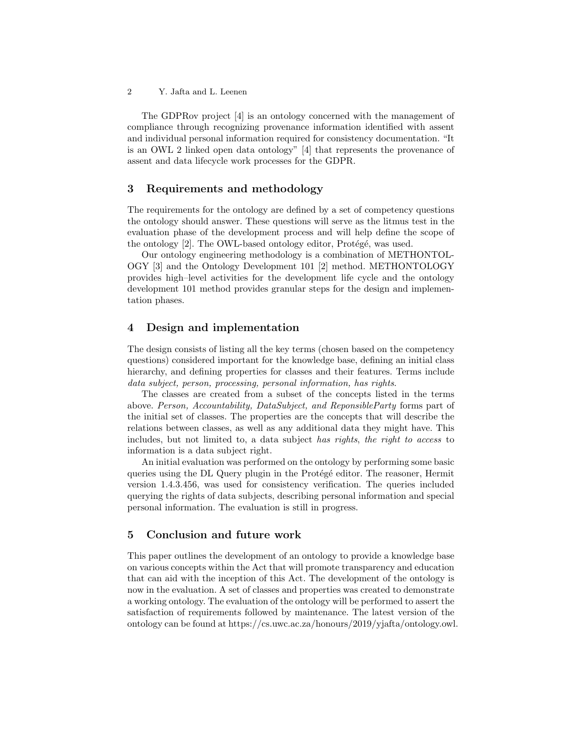2 Y. Jafta and L. Leenen

The GDPRov project [4] is an ontology concerned with the management of compliance through recognizing provenance information identified with assent and individual personal information required for consistency documentation. "It is an OWL 2 linked open data ontology" [4] that represents the provenance of assent and data lifecycle work processes for the GDPR.

#### 3 Requirements and methodology

The requirements for the ontology are defined by a set of competency questions the ontology should answer. These questions will serve as the litmus test in the evaluation phase of the development process and will help define the scope of the ontology [2]. The OWL-based ontology editor, Protégé, was used.

Our ontology engineering methodology is a combination of METHONTOL-OGY [3] and the Ontology Development 101 [2] method. METHONTOLOGY provides high–level activities for the development life cycle and the ontology development 101 method provides granular steps for the design and implementation phases.

### 4 Design and implementation

The design consists of listing all the key terms (chosen based on the competency questions) considered important for the knowledge base, defining an initial class hierarchy, and defining properties for classes and their features. Terms include data subject, person, processing, personal information, has rights.

The classes are created from a subset of the concepts listed in the terms above. Person, Accountability, DataSubject, and ReponsibleParty forms part of the initial set of classes. The properties are the concepts that will describe the relations between classes, as well as any additional data they might have. This includes, but not limited to, a data subject has rights, the right to access to information is a data subject right.

An initial evaluation was performed on the ontology by performing some basic queries using the DL Query plugin in the Protégé editor. The reasoner, Hermit version 1.4.3.456, was used for consistency verification. The queries included querying the rights of data subjects, describing personal information and special personal information. The evaluation is still in progress.

#### 5 Conclusion and future work

This paper outlines the development of an ontology to provide a knowledge base on various concepts within the Act that will promote transparency and education that can aid with the inception of this Act. The development of the ontology is now in the evaluation. A set of classes and properties was created to demonstrate a working ontology. The evaluation of the ontology will be performed to assert the satisfaction of requirements followed by maintenance. The latest version of the ontology can be found at https://cs.uwc.ac.za/honours/2019/yjafta/ontology.owl.